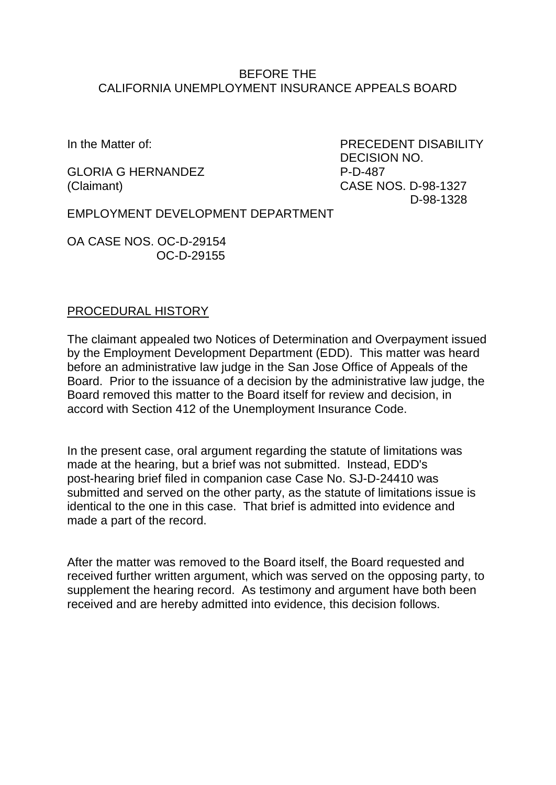#### BEFORE THE CALIFORNIA UNEMPLOYMENT INSURANCE APPEALS BOARD

GLORIA G HERNANDEZ P-D-487 (Claimant) CASE NOS. D-98-1327

In the Matter of: The Matter of the Matter of the Matter of the PRECEDENT DISABILITY DECISION NO. D-98-1328

EMPLOYMENT DEVELOPMENT DEPARTMENT

OA CASE NOS. OC-D-29154 OC-D-29155

### PROCEDURAL HISTORY

The claimant appealed two Notices of Determination and Overpayment issued by the Employment Development Department (EDD). This matter was heard before an administrative law judge in the San Jose Office of Appeals of the Board. Prior to the issuance of a decision by the administrative law judge, the Board removed this matter to the Board itself for review and decision, in accord with Section 412 of the Unemployment Insurance Code.

In the present case, oral argument regarding the statute of limitations was made at the hearing, but a brief was not submitted. Instead, EDD's post-hearing brief filed in companion case Case No. SJ-D-24410 was submitted and served on the other party, as the statute of limitations issue is identical to the one in this case. That brief is admitted into evidence and made a part of the record.

After the matter was removed to the Board itself, the Board requested and received further written argument, which was served on the opposing party, to supplement the hearing record. As testimony and argument have both been received and are hereby admitted into evidence, this decision follows.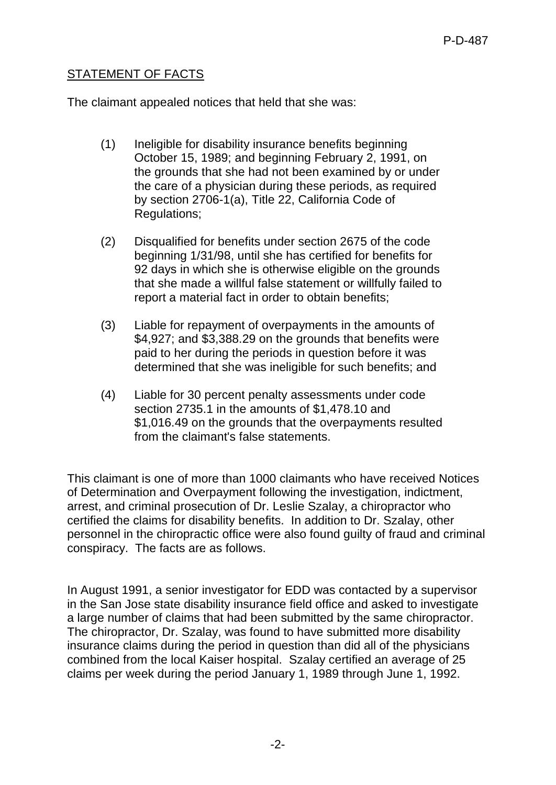## STATEMENT OF FACTS

The claimant appealed notices that held that she was:

- (1) Ineligible for disability insurance benefits beginning October 15, 1989; and beginning February 2, 1991, on the grounds that she had not been examined by or under the care of a physician during these periods, as required by section 2706-1(a), Title 22, California Code of Regulations;
- (2) Disqualified for benefits under section 2675 of the code beginning 1/31/98, until she has certified for benefits for 92 days in which she is otherwise eligible on the grounds that she made a willful false statement or willfully failed to report a material fact in order to obtain benefits;
- (3) Liable for repayment of overpayments in the amounts of \$4,927; and \$3,388.29 on the grounds that benefits were paid to her during the periods in question before it was determined that she was ineligible for such benefits; and
- (4) Liable for 30 percent penalty assessments under code section 2735.1 in the amounts of \$1,478.10 and \$1,016.49 on the grounds that the overpayments resulted from the claimant's false statements.

This claimant is one of more than 1000 claimants who have received Notices of Determination and Overpayment following the investigation, indictment, arrest, and criminal prosecution of Dr. Leslie Szalay, a chiropractor who certified the claims for disability benefits. In addition to Dr. Szalay, other personnel in the chiropractic office were also found guilty of fraud and criminal conspiracy. The facts are as follows.

In August 1991, a senior investigator for EDD was contacted by a supervisor in the San Jose state disability insurance field office and asked to investigate a large number of claims that had been submitted by the same chiropractor. The chiropractor, Dr. Szalay, was found to have submitted more disability insurance claims during the period in question than did all of the physicians combined from the local Kaiser hospital. Szalay certified an average of 25 claims per week during the period January 1, 1989 through June 1, 1992.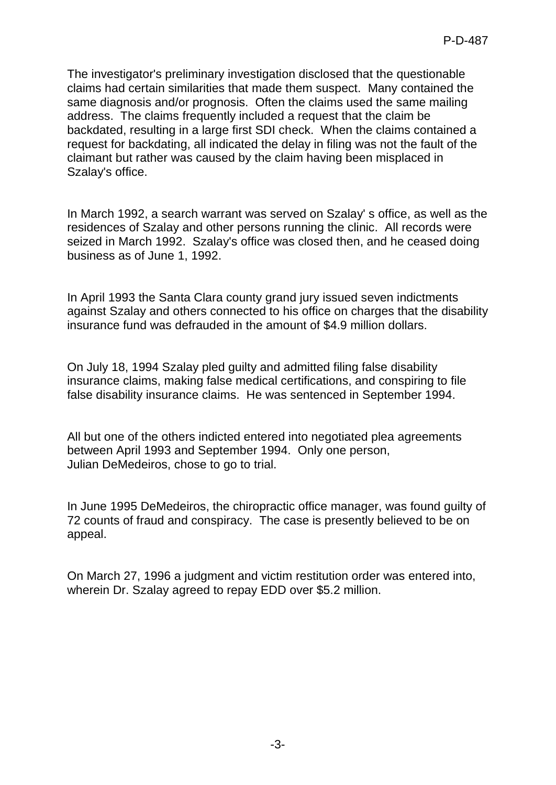The investigator's preliminary investigation disclosed that the questionable claims had certain similarities that made them suspect. Many contained the same diagnosis and/or prognosis. Often the claims used the same mailing address. The claims frequently included a request that the claim be backdated, resulting in a large first SDI check. When the claims contained a request for backdating, all indicated the delay in filing was not the fault of the claimant but rather was caused by the claim having been misplaced in Szalay's office.

In March 1992, a search warrant was served on Szalay' s office, as well as the residences of Szalay and other persons running the clinic. All records were seized in March 1992. Szalay's office was closed then, and he ceased doing business as of June 1, 1992.

In April 1993 the Santa Clara county grand jury issued seven indictments against Szalay and others connected to his office on charges that the disability insurance fund was defrauded in the amount of \$4.9 million dollars.

On July 18, 1994 Szalay pled guilty and admitted filing false disability insurance claims, making false medical certifications, and conspiring to file false disability insurance claims. He was sentenced in September 1994.

All but one of the others indicted entered into negotiated plea agreements between April 1993 and September 1994. Only one person, Julian DeMedeiros, chose to go to trial.

In June 1995 DeMedeiros, the chiropractic office manager, was found guilty of 72 counts of fraud and conspiracy. The case is presently believed to be on appeal.

On March 27, 1996 a judgment and victim restitution order was entered into, wherein Dr. Szalay agreed to repay EDD over \$5.2 million.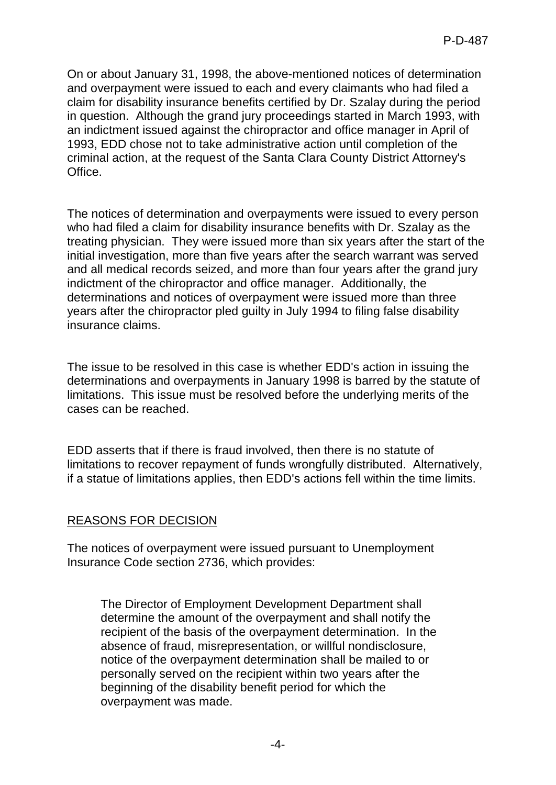On or about January 31, 1998, the above-mentioned notices of determination and overpayment were issued to each and every claimants who had filed a claim for disability insurance benefits certified by Dr. Szalay during the period in question. Although the grand jury proceedings started in March 1993, with an indictment issued against the chiropractor and office manager in April of 1993, EDD chose not to take administrative action until completion of the criminal action, at the request of the Santa Clara County District Attorney's Office.

The notices of determination and overpayments were issued to every person who had filed a claim for disability insurance benefits with Dr. Szalay as the treating physician. They were issued more than six years after the start of the initial investigation, more than five years after the search warrant was served and all medical records seized, and more than four years after the grand jury indictment of the chiropractor and office manager. Additionally, the determinations and notices of overpayment were issued more than three years after the chiropractor pled guilty in July 1994 to filing false disability insurance claims.

The issue to be resolved in this case is whether EDD's action in issuing the determinations and overpayments in January 1998 is barred by the statute of limitations. This issue must be resolved before the underlying merits of the cases can be reached.

EDD asserts that if there is fraud involved, then there is no statute of limitations to recover repayment of funds wrongfully distributed. Alternatively, if a statue of limitations applies, then EDD's actions fell within the time limits.

### REASONS FOR DECISION

The notices of overpayment were issued pursuant to Unemployment Insurance Code section 2736, which provides:

The Director of Employment Development Department shall determine the amount of the overpayment and shall notify the recipient of the basis of the overpayment determination. In the absence of fraud, misrepresentation, or willful nondisclosure, notice of the overpayment determination shall be mailed to or personally served on the recipient within two years after the beginning of the disability benefit period for which the overpayment was made.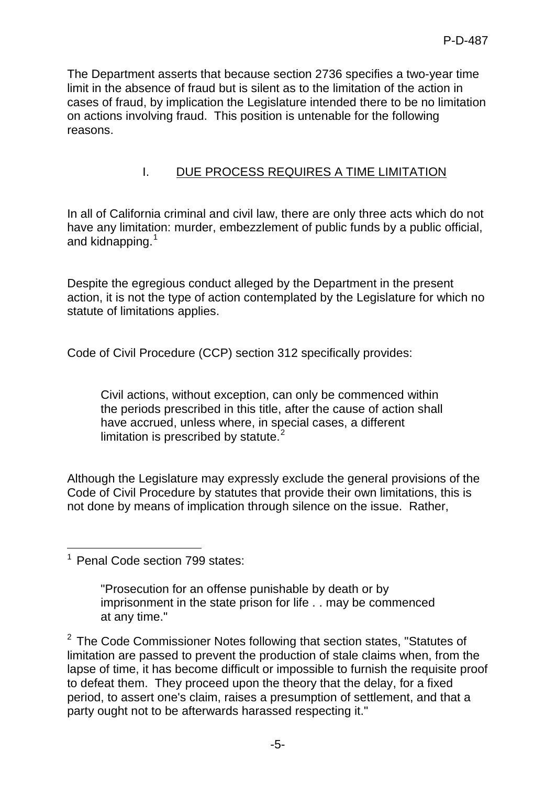The Department asserts that because section 2736 specifies a two-year time limit in the absence of fraud but is silent as to the limitation of the action in cases of fraud, by implication the Legislature intended there to be no limitation on actions involving fraud. This position is untenable for the following reasons.

# I. DUE PROCESS REQUIRES A TIME LIMITATION

In all of California criminal and civil law, there are only three acts which do not have any limitation: murder, embezzlement of public funds by a public official, and kidnapping.<sup>[1](#page-4-0)</sup>

Despite the egregious conduct alleged by the Department in the present action, it is not the type of action contemplated by the Legislature for which no statute of limitations applies.

Code of Civil Procedure (CCP) section 312 specifically provides:

Civil actions, without exception, can only be commenced within the periods prescribed in this title, after the cause of action shall have accrued, unless where, in special cases, a different limitation is prescribed by statute. $2$ 

Although the Legislature may expressly exclude the general provisions of the Code of Civil Procedure by statutes that provide their own limitations, this is not done by means of implication through silence on the issue. Rather,

"Prosecution for an offense punishable by death or by imprisonment in the state prison for life . . may be commenced at any time."

<span id="page-4-1"></span> $2$  The Code Commissioner Notes following that section states, "Statutes of limitation are passed to prevent the production of stale claims when, from the lapse of time, it has become difficult or impossible to furnish the requisite proof to defeat them. They proceed upon the theory that the delay, for a fixed period, to assert one's claim, raises a presumption of settlement, and that a party ought not to be afterwards harassed respecting it."

<span id="page-4-0"></span><sup>-</sup><sup>1</sup> Penal Code section 799 states: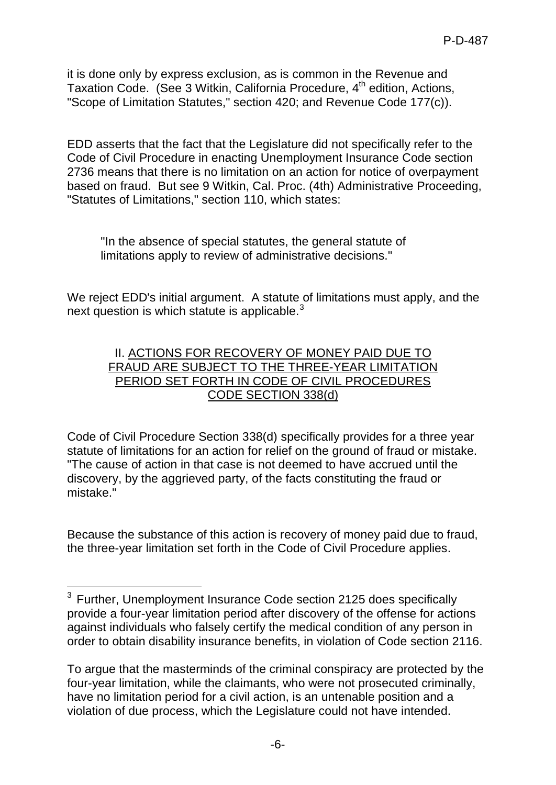it is done only by express exclusion, as is common in the Revenue and Taxation Code. (See 3 Witkin, California Procedure, 4<sup>th</sup> edition, Actions, "Scope of Limitation Statutes," section 420; and Revenue Code 177(c)).

EDD asserts that the fact that the Legislature did not specifically refer to the Code of Civil Procedure in enacting Unemployment Insurance Code section 2736 means that there is no limitation on an action for notice of overpayment based on fraud. But see 9 Witkin, Cal. Proc. (4th) Administrative Proceeding, "Statutes of Limitations," section 110, which states:

"In the absence of special statutes, the general statute of limitations apply to review of administrative decisions."

We reject EDD's initial argument. A statute of limitations must apply, and the next question is which statute is applicable.<sup>[3](#page-5-0)</sup>

## II. ACTIONS FOR RECOVERY OF MONEY PAID DUE TO FRAUD ARE SUBJECT TO THE THREE-YEAR LIMITATION PERIOD SET FORTH IN CODE OF CIVIL PROCEDURES CODE SECTION 338(d)

Code of Civil Procedure Section 338(d) specifically provides for a three year statute of limitations for an action for relief on the ground of fraud or mistake. "The cause of action in that case is not deemed to have accrued until the discovery, by the aggrieved party, of the facts constituting the fraud or mistake."

Because the substance of this action is recovery of money paid due to fraud, the three-year limitation set forth in the Code of Civil Procedure applies.

<span id="page-5-0"></span> $\overline{a}$  $3$  Further, Unemployment Insurance Code section 2125 does specifically provide a four-year limitation period after discovery of the offense for actions against individuals who falsely certify the medical condition of any person in order to obtain disability insurance benefits, in violation of Code section 2116.

To argue that the masterminds of the criminal conspiracy are protected by the four-year limitation, while the claimants, who were not prosecuted criminally, have no limitation period for a civil action, is an untenable position and a violation of due process, which the Legislature could not have intended.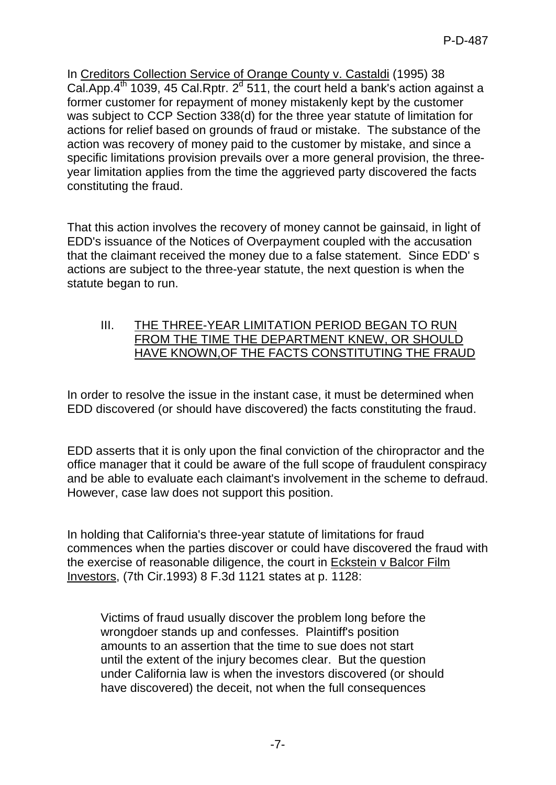In Creditors Collection Service of Orange County v. Castaldi (1995) 38 Cal.App. $4^{\text{th}}$  1039, 45 Cal.Rptr.  $2^{\text{d}}$  511, the court held a bank's action against a former customer for repayment of money mistakenly kept by the customer was subject to CCP Section 338(d) for the three year statute of limitation for actions for relief based on grounds of fraud or mistake. The substance of the action was recovery of money paid to the customer by mistake, and since a specific limitations provision prevails over a more general provision, the threeyear limitation applies from the time the aggrieved party discovered the facts constituting the fraud.

That this action involves the recovery of money cannot be gainsaid, in light of EDD's issuance of the Notices of Overpayment coupled with the accusation that the claimant received the money due to a false statement. Since EDD' s actions are subject to the three-year statute, the next question is when the statute began to run.

III. THE THREE-YEAR LIMITATION PERIOD BEGAN TO RUN FROM THE TIME THE DEPARTMENT KNEW, OR SHOULD HAVE KNOWN,OF THE FACTS CONSTITUTING THE FRAUD

In order to resolve the issue in the instant case, it must be determined when EDD discovered (or should have discovered) the facts constituting the fraud.

EDD asserts that it is only upon the final conviction of the chiropractor and the office manager that it could be aware of the full scope of fraudulent conspiracy and be able to evaluate each claimant's involvement in the scheme to defraud. However, case law does not support this position.

In holding that California's three-year statute of limitations for fraud commences when the parties discover or could have discovered the fraud with the exercise of reasonable diligence, the court in Eckstein v Balcor Film Investors, (7th Cir.1993) 8 F.3d 1121 states at p. 1128:

Victims of fraud usually discover the problem long before the wrongdoer stands up and confesses. Plaintiff's position amounts to an assertion that the time to sue does not start until the extent of the injury becomes clear. But the question under California law is when the investors discovered (or should have discovered) the deceit, not when the full consequences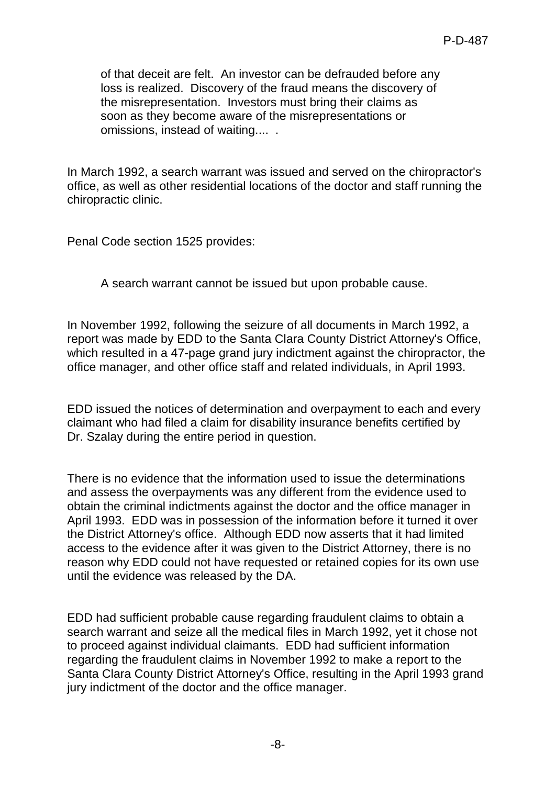of that deceit are felt. An investor can be defrauded before any loss is realized. Discovery of the fraud means the discovery of the misrepresentation. Investors must bring their claims as soon as they become aware of the misrepresentations or omissions, instead of waiting.... .

In March 1992, a search warrant was issued and served on the chiropractor's office, as well as other residential locations of the doctor and staff running the chiropractic clinic.

Penal Code section 1525 provides:

A search warrant cannot be issued but upon probable cause.

In November 1992, following the seizure of all documents in March 1992, a report was made by EDD to the Santa Clara County District Attorney's Office, which resulted in a 47-page grand jury indictment against the chiropractor, the office manager, and other office staff and related individuals, in April 1993.

EDD issued the notices of determination and overpayment to each and every claimant who had filed a claim for disability insurance benefits certified by Dr. Szalay during the entire period in question.

There is no evidence that the information used to issue the determinations and assess the overpayments was any different from the evidence used to obtain the criminal indictments against the doctor and the office manager in April 1993. EDD was in possession of the information before it turned it over the District Attorney's office. Although EDD now asserts that it had limited access to the evidence after it was given to the District Attorney, there is no reason why EDD could not have requested or retained copies for its own use until the evidence was released by the DA.

EDD had sufficient probable cause regarding fraudulent claims to obtain a search warrant and seize all the medical files in March 1992, yet it chose not to proceed against individual claimants. EDD had sufficient information regarding the fraudulent claims in November 1992 to make a report to the Santa Clara County District Attorney's Office, resulting in the April 1993 grand jury indictment of the doctor and the office manager.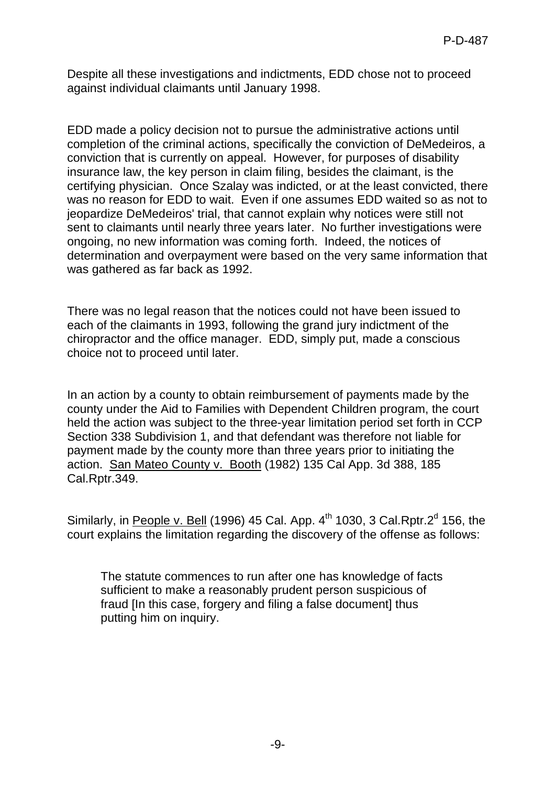Despite all these investigations and indictments, EDD chose not to proceed against individual claimants until January 1998.

EDD made a policy decision not to pursue the administrative actions until completion of the criminal actions, specifically the conviction of DeMedeiros, a conviction that is currently on appeal. However, for purposes of disability insurance law, the key person in claim filing, besides the claimant, is the certifying physician. Once Szalay was indicted, or at the least convicted, there was no reason for EDD to wait. Even if one assumes EDD waited so as not to jeopardize DeMedeiros' trial, that cannot explain why notices were still not sent to claimants until nearly three years later. No further investigations were ongoing, no new information was coming forth. Indeed, the notices of determination and overpayment were based on the very same information that was gathered as far back as 1992.

There was no legal reason that the notices could not have been issued to each of the claimants in 1993, following the grand jury indictment of the chiropractor and the office manager. EDD, simply put, made a conscious choice not to proceed until later.

In an action by a county to obtain reimbursement of payments made by the county under the Aid to Families with Dependent Children program, the court held the action was subject to the three-year limitation period set forth in CCP Section 338 Subdivision 1, and that defendant was therefore not liable for payment made by the county more than three years prior to initiating the action. San Mateo County v. Booth (1982) 135 Cal App. 3d 388, 185 Cal.Rptr.349.

Similarly, in People v. Bell (1996) 45 Cal. App.  $4<sup>th</sup>$  1030, 3 Cal.Rptr. $2<sup>d</sup>$  156, the court explains the limitation regarding the discovery of the offense as follows:

The statute commences to run after one has knowledge of facts sufficient to make a reasonably prudent person suspicious of fraud [In this case, forgery and filing a false document] thus putting him on inquiry.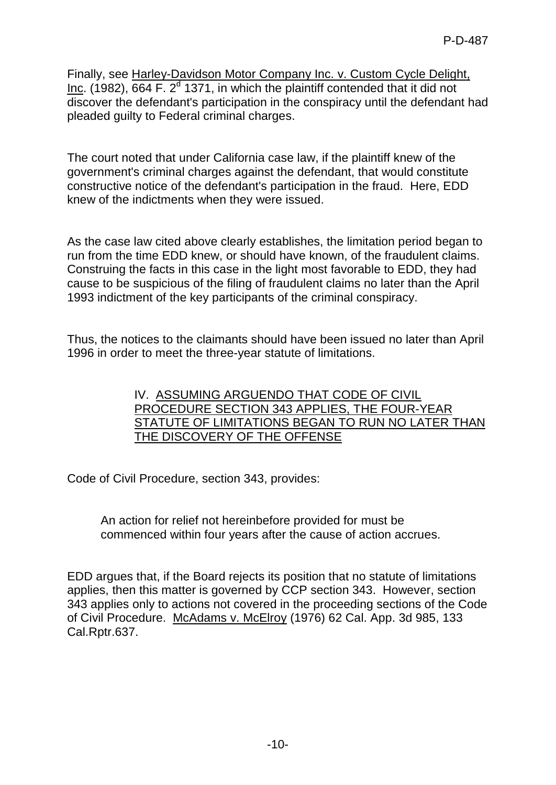Finally, see Harley-Davidson Motor Company Inc. v. Custom Cycle Delight, Inc. (1982), 664 F.  $2<sup>d</sup>$  1371, in which the plaintiff contended that it did not discover the defendant's participation in the conspiracy until the defendant had pleaded guilty to Federal criminal charges.

The court noted that under California case law, if the plaintiff knew of the government's criminal charges against the defendant, that would constitute constructive notice of the defendant's participation in the fraud. Here, EDD knew of the indictments when they were issued.

As the case law cited above clearly establishes, the limitation period began to run from the time EDD knew, or should have known, of the fraudulent claims. Construing the facts in this case in the light most favorable to EDD, they had cause to be suspicious of the filing of fraudulent claims no later than the April 1993 indictment of the key participants of the criminal conspiracy.

Thus, the notices to the claimants should have been issued no later than April 1996 in order to meet the three-year statute of limitations.

> IV. ASSUMING ARGUENDO THAT CODE OF CIVIL PROCEDURE SECTION 343 APPLIES, THE FOUR-YEAR STATUTE OF LIMITATIONS BEGAN TO RUN NO LATER THAN THE DISCOVERY OF THE OFFENSE

Code of Civil Procedure, section 343, provides:

An action for relief not hereinbefore provided for must be commenced within four years after the cause of action accrues.

EDD argues that, if the Board rejects its position that no statute of limitations applies, then this matter is governed by CCP section 343. However, section 343 applies only to actions not covered in the proceeding sections of the Code of Civil Procedure. McAdams v. McElroy (1976) 62 Cal. App. 3d 985, 133 Cal.Rptr.637.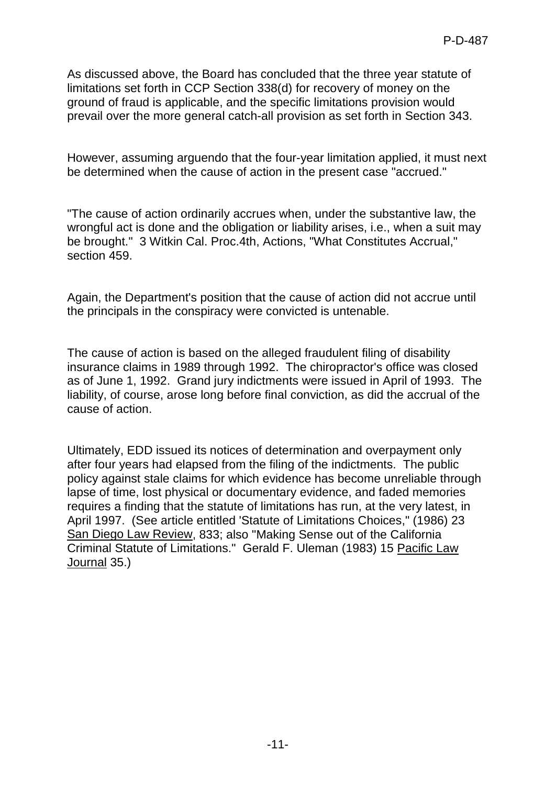As discussed above, the Board has concluded that the three year statute of limitations set forth in CCP Section 338(d) for recovery of money on the ground of fraud is applicable, and the specific limitations provision would prevail over the more general catch-all provision as set forth in Section 343.

However, assuming arguendo that the four-year limitation applied, it must next be determined when the cause of action in the present case "accrued."

"The cause of action ordinarily accrues when, under the substantive law, the wrongful act is done and the obligation or liability arises, i.e., when a suit may be brought." 3 Witkin Cal. Proc.4th, Actions, "What Constitutes Accrual," section 459.

Again, the Department's position that the cause of action did not accrue until the principals in the conspiracy were convicted is untenable.

The cause of action is based on the alleged fraudulent filing of disability insurance claims in 1989 through 1992. The chiropractor's office was closed as of June 1, 1992. Grand jury indictments were issued in April of 1993. The liability, of course, arose long before final conviction, as did the accrual of the cause of action.

Ultimately, EDD issued its notices of determination and overpayment only after four years had elapsed from the filing of the indictments. The public policy against stale claims for which evidence has become unreliable through lapse of time, lost physical or documentary evidence, and faded memories requires a finding that the statute of limitations has run, at the very latest, in April 1997. (See article entitled 'Statute of Limitations Choices," (1986) 23 San Diego Law Review, 833; also "Making Sense out of the California Criminal Statute of Limitations." Gerald F. Uleman (1983) 15 Pacific Law Journal 35.)